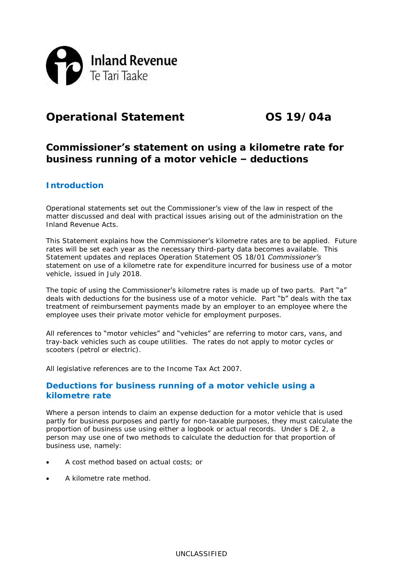

## **Operational Statement OS 19/04a**

**Commissioner's statement on using a kilometre rate for business running of a motor vehicle – deductions**

## **Introduction**

Operational statements set out the Commissioner's view of the law in respect of the matter discussed and deal with practical issues arising out of the administration on the Inland Revenue Acts.

This Statement explains how the **Commissioner's** kilometre rates are to be applied. Future rates will be set each year as the necessary third-party data becomes available. This Statement updates and replaces Operation Statement OS 18/01 *Commissioner's statement on use of a kilometre rate for expenditure incurred for business use of a motor vehicle*, issued in July 2018.

The topic of using the Commissioner's kilometre rates is made up of two parts. Part "a" deals with deductions for the business use of a motor vehicle. Part "b" deals with the tax treatment of reimbursement payments made by an employer to an employee where the employee uses their private motor vehicle for employment purposes.

All references to "motor vehicles" and "vehicles" are referring to motor cars, vans, and tray-back vehicles such as coupe utilities. The rates do not apply to motor cycles or scooters (petrol or electric).

All legislative references are to the Income Tax Act 2007.

### **Deductions for business running of a motor vehicle using a kilometre rate**

Where a person intends to claim an expense deduction for a motor vehicle that is used partly for business purposes and partly for non-taxable purposes, they must calculate the proportion of business use using either a logbook or actual records. Under s DE 2, a person may use one of two methods to calculate the deduction for that proportion of business use, namely:

- A cost method based on actual costs; or
- A kilometre rate method.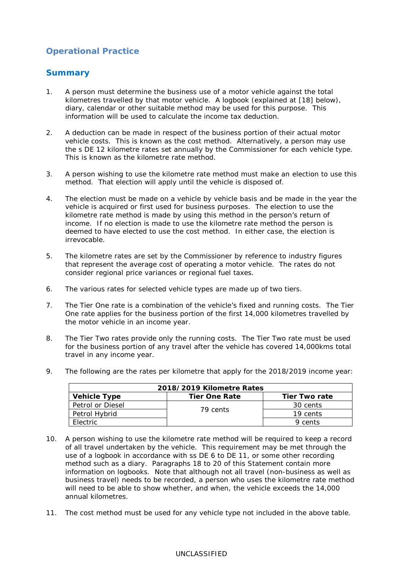## **Operational Practice**

## **Summary**

- 1. A person must determine the business use of a motor vehicle against the total kilometres travelled by that motor vehicle. A logbook (explained at [\[18\]](#page-3-0) below), diary, calendar or other suitable method may be used for this purpose. This information will be used to calculate the income tax deduction.
- 2. A deduction can be made in respect of the business portion of their actual motor vehicle costs. This is known as the cost method. Alternatively, a person may use the s DE 12 kilometre rates set annually by the Commissioner for each vehicle type. This is known as the kilometre rate method.
- 3. A person wishing to use the kilometre rate method must make an election to use this method. That election will apply until the vehicle is disposed of.
- 4. The election must be made on a vehicle by vehicle basis and be made in the year the vehicle is acquired or first used for business purposes. The election to use the kilometre rate method is made by using this method in the person's return of income. If no election is made to use the kilometre rate method the person is deemed to have elected to use the cost method. In either case, the election is irrevocable.
- 5. The kilometre rates are set by the Commissioner by reference to industry figures that represent the average cost of operating a motor vehicle. The rates do not consider regional price variances or regional fuel taxes.
- 6. The various rates for selected vehicle types are made up of two tiers.
- 7. The Tier One rate is a combination of the vehicle's fixed and running costs. The Tier One rate applies for the business portion of the first 14,000 kilometres travelled by the motor vehicle in an income year.
- 8. The Tier Two rates provide only the running costs. The Tier Two rate must be used for the business portion of any travel after the vehicle has covered 14,000kms total travel in any income year.
- 9. The following are the rates per kilometre that apply for the 2018/2019 income year:

| 2018/2019 Kilometre Rates |               |               |  |  |
|---------------------------|---------------|---------------|--|--|
| Vehicle Type              | Tier One Rate | Tier Two rate |  |  |
| Petrol or Diesel          |               | 30 cents      |  |  |
| Petrol Hybrid             | 79 cents      | 19 cents      |  |  |
| Flectric                  |               | 9 cents       |  |  |

- 10. A person wishing to use the kilometre rate method will be required to keep a record of all travel undertaken by the vehicle. This requirement may be met through the use of a logbook in accordance with ss DE 6 to DE 11, or some other recording method such as a diary. Paragraphs 18 to 20 of this Statement contain more information on logbooks. Note that although not all travel (non-business as well as business travel) needs to be recorded, a person who uses the kilometre rate method will need to be able to show whether, and when, the vehicle exceeds the 14,000 annual kilometres.
- 11. The cost method must be used for any vehicle type not included in the above table.

#### UNCLASSIFIED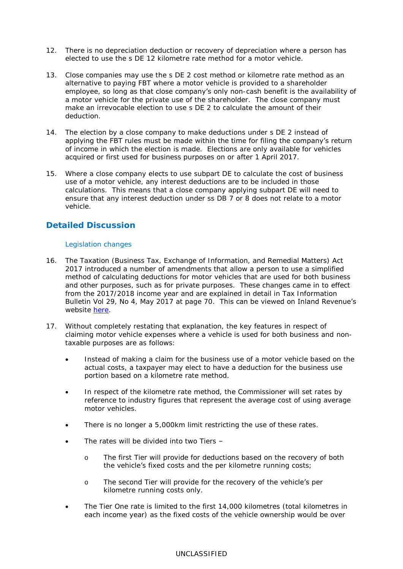- 12. There is no depreciation deduction or recovery of depreciation where a person has elected to use the s DE 12 kilometre rate method for a motor vehicle.
- 13. Close companies may use the s DE 2 cost method or kilometre rate method as an alternative to paying FBT where a motor vehicle is provided to a shareholder employee, so long as that close company's only non-cash benefit is the availability of a motor vehicle for the private use of the shareholder. The close company must make an irrevocable election to use s DE 2 to calculate the amount of their deduction.
- 14. The election by a close company to make deductions under s DE 2 instead of applying the FBT rules must be made within the time for filing the company's return of income in which the election is made. Elections are only available for vehicles acquired or first used for business purposes on or after 1 April 2017.
- 15. Where a close company elects to use subpart DE to calculate the cost of business use of a motor vehicle, any interest deductions are to be included in those calculations. This means that a close company applying subpart DE will need to ensure that any interest deduction under ss DB 7 or 8 does not relate to a motor vehicle.

## **Detailed Discussion**

#### *Legislation changes*

- 16. The Taxation (Business Tax, Exchange of Information, and Remedial Matters) Act 2017 introduced a number of amendments that allow a person to use a simplified method of calculating deductions for motor vehicles that are used for both business and other purposes, such as for private purposes. These changes came in to effect from the 2017/2018 income year and are explained in detail in Tax Information Bulletin Vol 29, No 4, May 2017 at page 70. This can be viewed on Inland Revenue's website [here.](https://www.classic.ird.govt.nz/aboutir/newsletters/tib/previous-volumes/tax-information-bulletin-vol-29.html)
- 17. Without completely restating that explanation, the key features in respect of claiming motor vehicle expenses where a vehicle is used for both business and nontaxable purposes are as follows:
	- Instead of making a claim for the business use of a motor vehicle based on the actual costs, a taxpayer may elect to have a deduction for the business use portion based on a kilometre rate method.
	- In respect of the kilometre rate method, the Commissioner will set rates by reference to industry figures that represent the average cost of using average motor vehicles.
	- There is no longer a 5,000km limit restricting the use of these rates.
	- The rates will be divided into two Tiers
		- o The first Tier will provide for deductions based on the recovery of both the vehicle's fixed costs and the per kilometre running costs;
		- o The second Tier will provide for the recovery of the **vehicle's** per kilometre running costs only.
	- The Tier One rate is limited to the first 14,000 kilometres (total kilometres in each income year) as the fixed costs of the vehicle ownership would be over

#### UNCLASSIFIED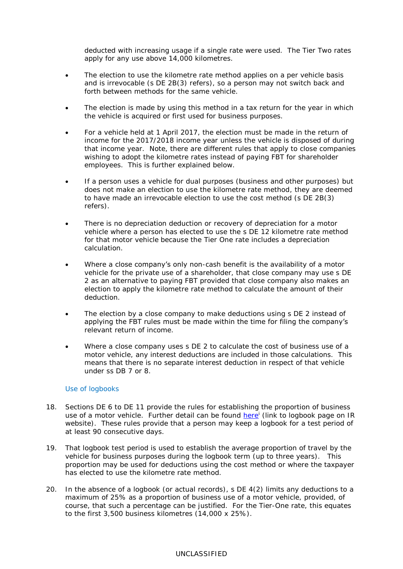deducted with increasing usage if a single rate were used. The Tier Two rates apply for any use above 14,000 kilometres.

- The election to use the kilometre rate method applies on a per vehicle basis and is irrevocable (s DE 2B(3) refers), so a person may not switch back and forth between methods for the same vehicle.
- The election is made by using this method in a tax return for the year in which the vehicle is acquired or first used for business purposes.
- For a vehicle held at 1 April 2017, the election must be made in the return of income for the 2017/2018 income year unless the vehicle is disposed of during that income year. Note, there are different rules that apply to close companies wishing to adopt the kilometre rates instead of paying FBT for shareholder employees. This is further explained below.
- If a person uses a vehicle for dual purposes (business and other purposes) but does not make an election to use the kilometre rate method, they are deemed to have made an irrevocable election to use the cost method (s DE 2B(3) refers).
- There is no depreciation deduction or recovery of depreciation for a motor vehicle where a person has elected to use the s DE 12 kilometre rate method for that motor vehicle because the Tier One rate includes a depreciation calculation.
- Where a close company's only non-cash benefit is the availability of a motor vehicle for the private use of a shareholder, that close company may use s DE 2 as an alternative to paying FBT provided that close company also makes an election to apply the kilometre rate method to calculate the amount of their deduction.
- The election by a close company to make deductions using s DE 2 instead of applying the FBT rules must be made within the time for filing the company's relevant return of income.
- Where a close company uses s DE 2 to calculate the cost of business use of a motor vehicle, any interest deductions are included in those calculations. This means that there is no separate interest deduction in respect of that vehicle under ss DB 7 or 8.

#### *Use of logbooks*

- <span id="page-3-0"></span>18. Sections DE 6 to DE 11 provide the rules for establishing the proportion of business use of a motor vehicle. Further detail can be found [here](https://www.ird.govt.nz/tasks/use-a-logbook)<sup>i</sup> (link to logbook page on IR website). These rules provide that a person may keep a logbook for a test period of at least 90 consecutive days.
- 19. That logbook test period is used to establish the average proportion of travel by the vehicle for business purposes during the logbook term (up to three years). This proportion may be used for deductions using the cost method or where the taxpayer has elected to use the kilometre rate method.
- 20. In the absence of a logbook (or actual records), s DE 4(2) limits any deductions to a maximum of 25% as a proportion of business use of a motor vehicle, provided, of course, that such a percentage can be justified. For the Tier-One rate, this equates to the first 3,500 business kilometres (14,000 x 25%).

#### UNCLASSIFIED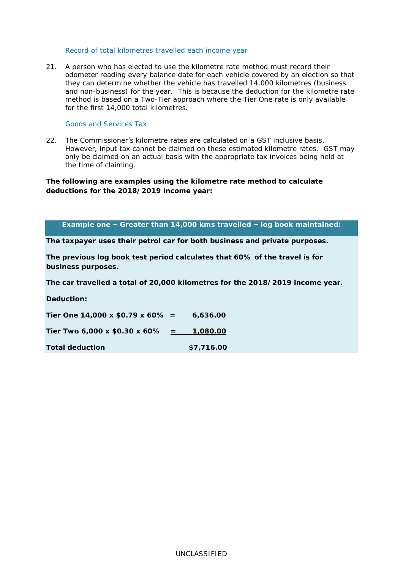#### *Record of total kilometres travelled each income year*

21. A person who has elected to use the kilometre rate method must record their odometer reading every balance date for each vehicle covered by an election so that they can determine whether the vehicle has travelled 14,000 kilometres (business and non-business) for the year. This is because the deduction for the kilometre rate method is based on a Two-Tier approach where the Tier One rate is only available for the first 14,000 total kilometres.

#### *Goods and Services Tax*

22. The Commissioner's kilometre rates are calculated on a GST inclusive basis. However, input tax cannot be claimed on these estimated kilometre rates. GST may only be claimed on an actual basis with the appropriate tax invoices being held at the time of claiming.

**The following are examples using the kilometre rate method to calculate deductions for the 2018/2019 income year:**

#### **Example one – Greater than 14,000 kms travelled – log book maintained:**

**The taxpayer uses their petrol car for both business and private purposes.**

**The previous log book test period calculates that 60% of the travel is for business purposes.**

**The car travelled a total of 20,000 kilometres for the 2018/2019 income year.**

**Deduction:**

| Tier One 14,000 x $$0.79 \times 60\% =$ | 6,636,00   |
|-----------------------------------------|------------|
| Tier Two 6,000 x \$0.30 x 60%           | 1,080.00   |
| Total deduction                         | \$7,716.00 |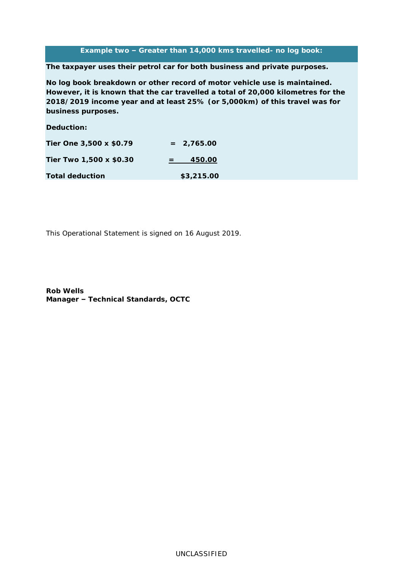#### **Example two – Greater than 14,000 kms travelled- no log book:**

**The taxpayer uses their petrol car for both business and private purposes.**

**No log book breakdown or other record of motor vehicle use is maintained. However, it is known that the car travelled a total of 20,000 kilometres for the 2018/2019 income year and at least 25% (or 5,000km) of this travel was for business purposes.**

**Deduction:**

| Tier One 3,500 x \$0.79 | $= 2,765.00$ |
|-------------------------|--------------|
| Tier Two 1,500 x \$0.30 | 450.00       |
| Total deduction         | \$3,215.00   |

This Operational Statement is signed on 16 August 2019.

**Rob Wells Manager – Technical Standards, OCTC**